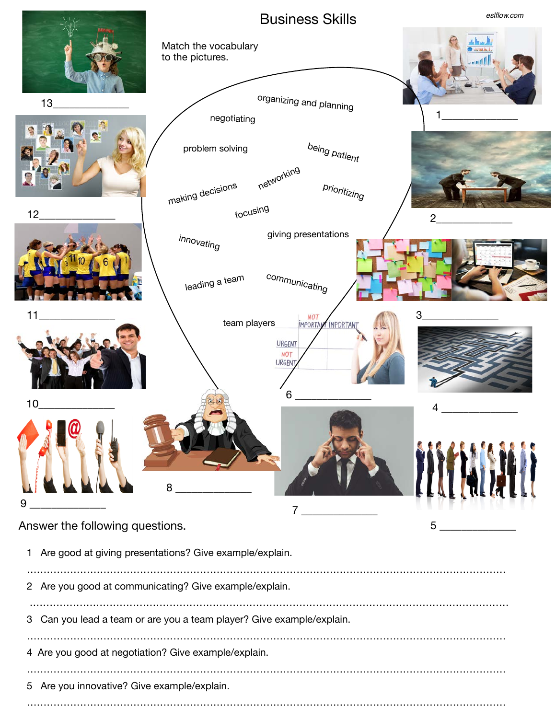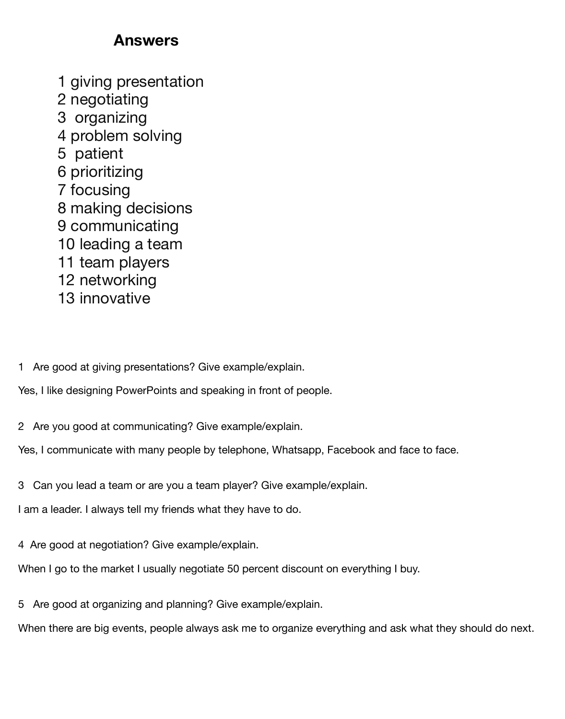## **Answers**

1 giving presentation 2 negotiating 3 organizing 4 problem solving 5 patient 6 prioritizing 7 focusing 8 making decisions 9 communicating 10 leading a team 11 team players 12 networking 13 innovative

1 Are good at giving presentations? Give example/explain.

Yes, I like designing PowerPoints and speaking in front of people.

2 Are you good at communicating? Give example/explain.

Yes, I communicate with many people by telephone, Whatsapp, Facebook and face to face.

3 Can you lead a team or are you a team player? Give example/explain.

I am a leader. I always tell my friends what they have to do.

4 Are good at negotiation? Give example/explain.

When I go to the market I usually negotiate 50 percent discount on everything I buy.

5 Are good at organizing and planning? Give example/explain.

When there are big events, people always ask me to organize everything and ask what they should do next.